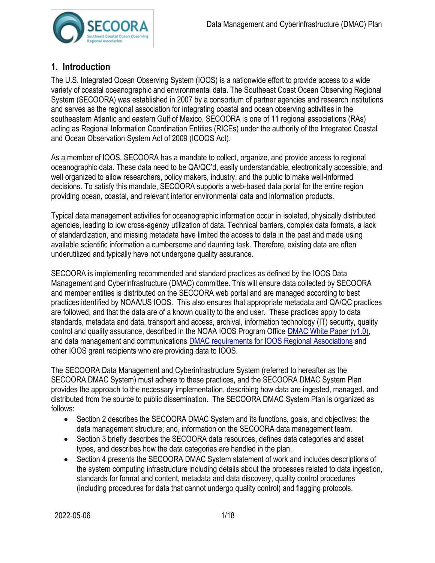

# **1. Introduction**

The U.S. Integrated Ocean Observing System (IOOS) is a nationwide effort to provide access to a wide variety of coastal oceanographic and environmental data. The Southeast Coast Ocean Observing Regional System (SECOORA) was established in 2007 by a consortium of partner agencies and research institutions and serves as the regional association for integrating coastal and ocean observing activities in the southeastern Atlantic and eastern Gulf of Mexico. SECOORA is one of 11 regional associations (RAs) acting as Regional Information Coordination Entities (RICEs) under the authority of the Integrated Coastal and Ocean Observation System Act of 2009 (ICOOS Act).

As a member of IOOS, SECOORA has a mandate to collect, organize, and provide access to regional oceanographic data. These data need to be QA/QC'd, easily understandable, electronically accessible, and well organized to allow researchers, policy makers, industry, and the public to make well-informed decisions. To satisfy this mandate, SECOORA supports a web-based data portal for the entire region providing ocean, coastal, and relevant interior environmental data and information products.

Typical data management activities for oceanographic information occur in isolated, physically distributed agencies, leading to low cross-agency utilization of data. Technical barriers, complex data formats, a lack of standardization, and missing metadata have limited the access to data in the past and made using available scientific information a cumbersome and daunting task. Therefore, existing data are often underutilized and typically have not undergone quality assurance.

SECOORA is implementing recommended and standard practices as defined by the IOOS Data Management and Cyberinfrastructure (DMAC) committee. This will ensure data collected by SECOORA and member entities is distributed on the SECOORA web portal and are managed according to best practices identified by NOAA/US IOOS. This also ensures that appropriate metadata and QA/QC practices are followed, and that the data are of a known quality to the end user. These practices apply to data standards, metadata and data, transport and access, archival, information technology (IT) security, quality control and quality assurance, described in the NOAA IOOS Program Offic[e DMAC White Paper \(v1.0\),](http://www.iooc.us/wp-content/uploads/2011/04/Guidance-for-Implementation-of-the-IOOS-DMAC-Subsystem.pdf) and data management and communications [DMAC requirements for IOOS Regional Associations](https://ioos.noaa.gov/data/contribute-data/) and other IOOS grant recipients who are providing data to IOOS.

The SECOORA Data Management and Cyberinfrastructure System (referred to hereafter as the SECOORA DMAC System) must adhere to these practices, and the SECOORA DMAC System Plan provides the approach to the necessary implementation, describing how data are ingested, managed, and distributed from the source to public dissemination. The SECOORA DMAC System Plan is organized as follows:

- Section 2 describes the SECOORA DMAC System and its functions, goals, and objectives; the data management structure; and, information on the SECOORA data management team.
- Section 3 briefly describes the SECOORA data resources, defines data categories and asset types, and describes how the data categories are handled in the plan.
- Section 4 presents the SECOORA DMAC System statement of work and includes descriptions of the system computing infrastructure including details about the processes related to data ingestion, standards for format and content, metadata and data discovery, quality control procedures (including procedures for data that cannot undergo quality control) and flagging protocols.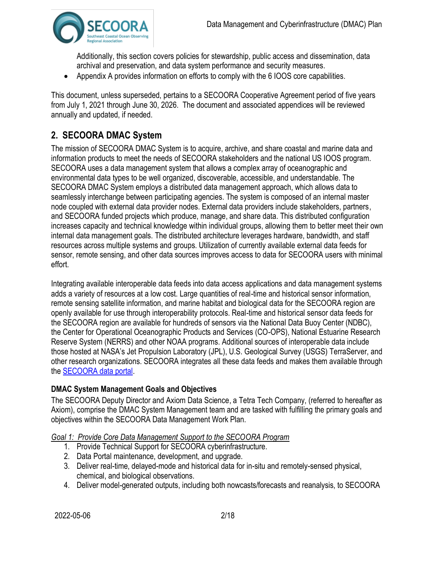

Additionally, this section covers policies for stewardship, public access and dissemination, data archival and preservation, and data system performance and security measures.

• Appendix A provides information on efforts to comply with the 6 IOOS core capabilities.

This document, unless superseded, pertains to a SECOORA Cooperative Agreement period of five years from July 1, 2021 through June 30, 2026. The document and associated appendices will be reviewed annually and updated, if needed.

# **2. SECOORA DMAC System**

The mission of SECOORA DMAC System is to acquire, archive, and share coastal and marine data and information products to meet the needs of SECOORA stakeholders and the national US IOOS program. SECOORA uses a data management system that allows a complex array of oceanographic and environmental data types to be well organized, discoverable, accessible, and understandable. The SECOORA DMAC System employs a distributed data management approach, which allows data to seamlessly interchange between participating agencies. The system is composed of an internal master node coupled with external data provider nodes. External data providers include stakeholders, partners, and SECOORA funded projects which produce, manage, and share data. This distributed configuration increases capacity and technical knowledge within individual groups, allowing them to better meet their own internal data management goals. The distributed architecture leverages hardware, bandwidth, and staff resources across multiple systems and groups. Utilization of currently available external data feeds for sensor, remote sensing, and other data sources improves access to data for SECOORA users with minimal effort.

Integrating available interoperable data feeds into data access applications and data management systems adds a variety of resources at a low cost. Large quantities of real-time and historical sensor information, remote sensing satellite information, and marine habitat and biological data for the SECOORA region are openly available for use through interoperability protocols. Real-time and historical sensor data feeds for the SECOORA region are available for hundreds of sensors via the National Data Buoy Center (NDBC), the Center for Operational Oceanographic Products and Services (CO-OPS), National Estuarine Research Reserve System (NERRS) and other NOAA programs. Additional sources of interoperable data include those hosted at NASA's Jet Propulsion Laboratory (JPL), U.S. Geological Survey (USGS) TerraServer, and other research organizations. SECOORA integrates all these data feeds and makes them available through the [SECOORA data portal.](https://portal.secoora.org/)

#### **DMAC System Management Goals and Objectives**

The SECOORA Deputy Director and Axiom Data Science, a Tetra Tech Company, (referred to hereafter as Axiom), comprise the DMAC System Management team and are tasked with fulfilling the primary goals and objectives within the SECOORA Data Management Work Plan.

#### *Goal 1: Provide Core Data Management Support to the SECOORA Program*

- 1. Provide Technical Support for SECOORA cyberinfrastructure.
- 2. Data Portal maintenance, development, and upgrade.
- 3. Deliver real-time, delayed-mode and historical data for in-situ and remotely-sensed physical, chemical, and biological observations.
- 4. Deliver model-generated outputs, including both nowcasts/forecasts and reanalysis, to SECOORA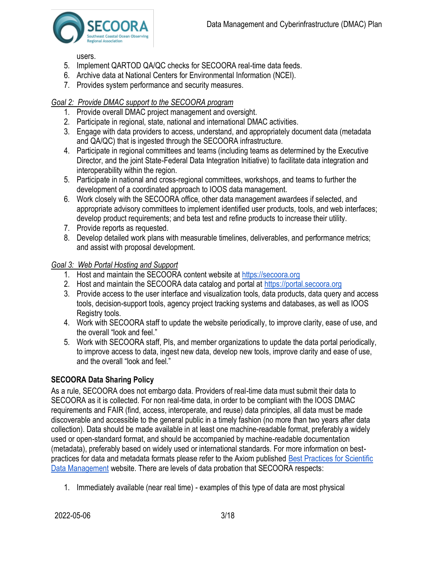

users.

- 5. Implement QARTOD QA/QC checks for SECOORA real-time data feeds.
- 6. Archive data at National Centers for Environmental Information (NCEI).
- 7. Provides system performance and security measures.

## *Goal 2: Provide DMAC support to the SECOORA program*

- 1. Provide overall DMAC project management and oversight.
- 2. Participate in regional, state, national and international DMAC activities.
- 3. Engage with data providers to access, understand, and appropriately document data (metadata and QA/QC) that is ingested through the SECOORA infrastructure.
- 4. Participate in regional committees and teams (including teams as determined by the Executive Director, and the joint State-Federal Data Integration Initiative) to facilitate data integration and interoperability within the region.
- 5. Participate in national and cross-regional committees, workshops, and teams to further the development of a coordinated approach to IOOS data management.
- 6. Work closely with the SECOORA office, other data management awardees if selected, and appropriate advisory committees to implement identified user products, tools, and web interfaces; develop product requirements; and beta test and refine products to increase their utility.
- 7. Provide reports as requested.
- 8. Develop detailed work plans with measurable timelines, deliverables, and performance metrics; and assist with proposal development.

## *Goal 3: Web Portal Hosting and Support*

- 1. Host and maintain the SECOORA content website at [https://secoora.org](https://secoora.org/)
- 2. Host and maintain the SECOORA data catalog and portal at [https://portal.secoora.org](https://portal.secoora.org/)
- 3. Provide access to the user interface and visualization tools, data products, data query and access tools, decision-support tools, agency project tracking systems and databases, as well as IOOS Registry tools.
- 4. Work with SECOORA staff to update the website periodically, to improve clarity, ease of use, and the overall "look and feel."
- 5. Work with SECOORA staff, PIs, and member organizations to update the data portal periodically, to improve access to data, ingest new data, develop new tools, improve clarity and ease of use, and the overall "look and feel."

# **SECOORA Data Sharing Policy**

As a rule, SECOORA does not embargo data. Providers of real-time data must submit their data to SECOORA as it is collected. For non real-time data, in order to be compliant with the IOOS DMAC requirements and FAIR (find, access, interoperate, and reuse) data principles, all data must be made discoverable and accessible to the general public in a timely fashion (no more than two years after data collection). Data should be made available in at least one machine-readable format, preferably a widely used or open-standard format, and should be accompanied by machine-readable documentation (metadata), preferably based on widely used or international standards. For more information on bestpractices for data and metadata formats please refer to the Axiom published [Best Practices for Scientific](https://axiomdatascience.com/best-practices/)  [Data Management](https://axiomdatascience.com/best-practices/) website. There are levels of data probation that SECOORA respects:

1. Immediately available (near real time) - examples of this type of data are most physical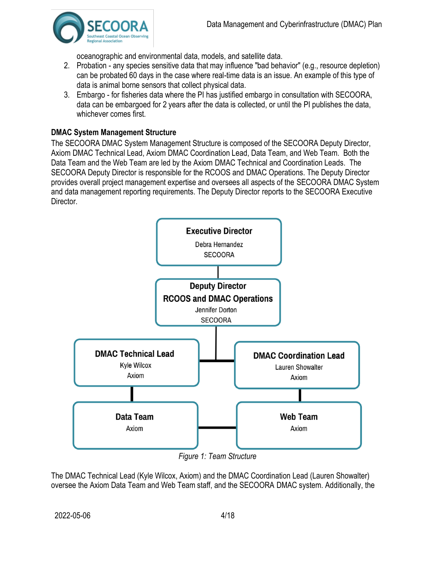

oceanographic and environmental data, models, and satellite data.

- 2. Probation any species sensitive data that may influence "bad behavior" (e.g., resource depletion) can be probated 60 days in the case where real-time data is an issue. An example of this type of data is animal borne sensors that collect physical data.
- 3. Embargo for fisheries data where the PI has justified embargo in consultation with SECOORA, data can be embargoed for 2 years after the data is collected, or until the PI publishes the data, whichever comes first.

# **DMAC System Management Structure**

The SECOORA DMAC System Management Structure is composed of the SECOORA Deputy Director, Axiom DMAC Technical Lead, Axiom DMAC Coordination Lead, Data Team, and Web Team. Both the Data Team and the Web Team are led by the Axiom DMAC Technical and Coordination Leads. The SECOORA Deputy Director is responsible for the RCOOS and DMAC Operations. The Deputy Director provides overall project management expertise and oversees all aspects of the SECOORA DMAC System and data management reporting requirements. The Deputy Director reports to the SECOORA Executive Director.



*Figure 1: Team Structure*

The DMAC Technical Lead (Kyle Wilcox, Axiom) and the DMAC Coordination Lead (Lauren Showalter) oversee the Axiom Data Team and Web Team staff, and the SECOORA DMAC system. Additionally, the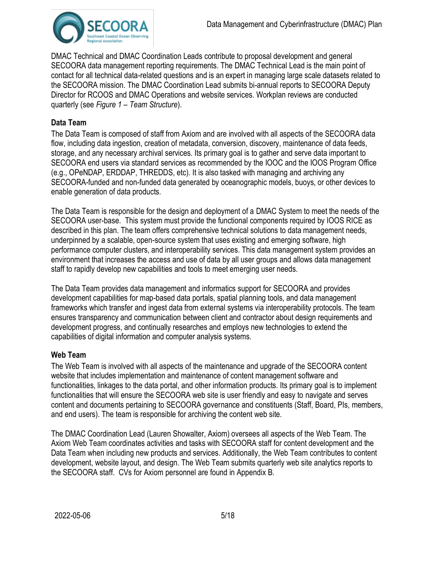

DMAC Technical and DMAC Coordination Leads contribute to proposal development and general SECOORA data management reporting requirements. The DMAC Technical Lead is the main point of contact for all technical data-related questions and is an expert in managing large scale datasets related to the SECOORA mission. The DMAC Coordination Lead submits bi-annual reports to SECOORA Deputy Director for RCOOS and DMAC Operations and website services. Workplan reviews are conducted quarterly (see *Figure 1 – Team Structure*).

#### **Data Team**

The Data Team is composed of staff from Axiom and are involved with all aspects of the SECOORA data flow, including data ingestion, creation of metadata, conversion, discovery, maintenance of data feeds, storage, and any necessary archival services. Its primary goal is to gather and serve data important to SECOORA end users via standard services as recommended by the IOOC and the IOOS Program Office (e.g., OPeNDAP, ERDDAP, THREDDS, etc). It is also tasked with managing and archiving any SECOORA-funded and non-funded data generated by oceanographic models, buoys, or other devices to enable generation of data products.

The Data Team is responsible for the design and deployment of a DMAC System to meet the needs of the SECOORA user-base. This system must provide the functional components required by IOOS RICE as described in this plan. The team offers comprehensive technical solutions to data management needs, underpinned by a scalable, open-source system that uses existing and emerging software, high performance computer clusters, and interoperability services. This data management system provides an environment that increases the access and use of data by all user groups and allows data management staff to rapidly develop new capabilities and tools to meet emerging user needs.

The Data Team provides data management and informatics support for SECOORA and provides development capabilities for map-based data portals, spatial planning tools, and data management frameworks which transfer and ingest data from external systems via interoperability protocols. The team ensures transparency and communication between client and contractor about design requirements and development progress, and continually researches and employs new technologies to extend the capabilities of digital information and computer analysis systems.

#### **Web Team**

The Web Team is involved with all aspects of the maintenance and upgrade of the SECOORA content website that includes implementation and maintenance of content management software and functionalities, linkages to the data portal, and other information products. Its primary goal is to implement functionalities that will ensure the SECOORA web site is user friendly and easy to navigate and serves content and documents pertaining to SECOORA governance and constituents (Staff, Board, PIs, members, and end users). The team is responsible for archiving the content web site.

The DMAC Coordination Lead (Lauren Showalter, Axiom) oversees all aspects of the Web Team. The Axiom Web Team coordinates activities and tasks with SECOORA staff for content development and the Data Team when including new products and services. Additionally, the Web Team contributes to content development, website layout, and design. The Web Team submits quarterly web site analytics reports to the SECOORA staff. CVs for Axiom personnel are found in Appendix B.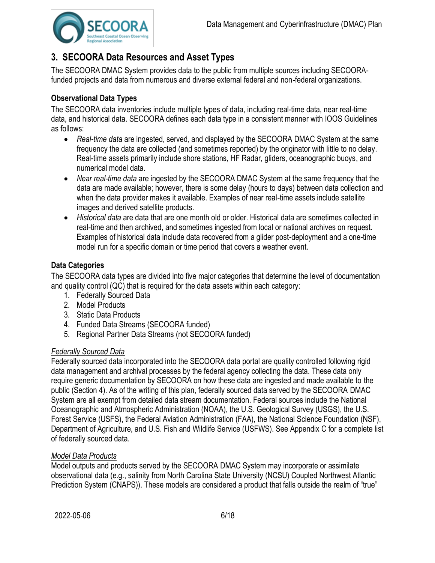

# **3. SECOORA Data Resources and Asset Types**

The SECOORA DMAC System provides data to the public from multiple sources including SECOORAfunded projects and data from numerous and diverse external federal and non-federal organizations.

# **Observational Data Types**

The SECOORA data inventories include multiple types of data, including real-time data, near real-time data, and historical data. SECOORA defines each data type in a consistent manner with IOOS Guidelines as follows:

- *Real-time data* are ingested, served, and displayed by the SECOORA DMAC System at the same frequency the data are collected (and sometimes reported) by the originator with little to no delay. Real-time assets primarily include shore stations, HF Radar, gliders, oceanographic buoys, and numerical model data.
- *Near real-time data* are ingested by the SECOORA DMAC System at the same frequency that the data are made available; however, there is some delay (hours to days) between data collection and when the data provider makes it available. Examples of near real-time assets include satellite images and derived satellite products.
- *Historical data* are data that are one month old or older. Historical data are sometimes collected in real-time and then archived, and sometimes ingested from local or national archives on request. Examples of historical data include data recovered from a glider post-deployment and a one-time model run for a specific domain or time period that covers a weather event.

# **Data Categories**

The SECOORA data types are divided into five major categories that determine the level of documentation and quality control (QC) that is required for the data assets within each category:

- 1. Federally Sourced Data
- 2. Model Products
- 3. Static Data Products
- 4. Funded Data Streams (SECOORA funded)
- 5. Regional Partner Data Streams (not SECOORA funded)

#### *Federally Sourced Data*

Federally sourced data incorporated into the SECOORA data portal are quality controlled following rigid data management and archival processes by the federal agency collecting the data. These data only require generic documentation by SECOORA on how these data are ingested and made available to the public (Section 4). As of the writing of this plan, federally sourced data served by the SECOORA DMAC System are all exempt from detailed data stream documentation. Federal sources include the National Oceanographic and Atmospheric Administration (NOAA), the U.S. Geological Survey (USGS), the U.S. Forest Service (USFS), the Federal Aviation Administration (FAA), the National Science Foundation (NSF), Department of Agriculture, and U.S. Fish and Wildlife Service (USFWS). See Appendix C for a complete list of federally sourced data.

#### *Model Data Products*

Model outputs and products served by the SECOORA DMAC System may incorporate or assimilate observational data (e.g., salinity from North Carolina State University (NCSU) Coupled Northwest Atlantic Prediction System (CNAPS)). These models are considered a product that falls outside the realm of "true"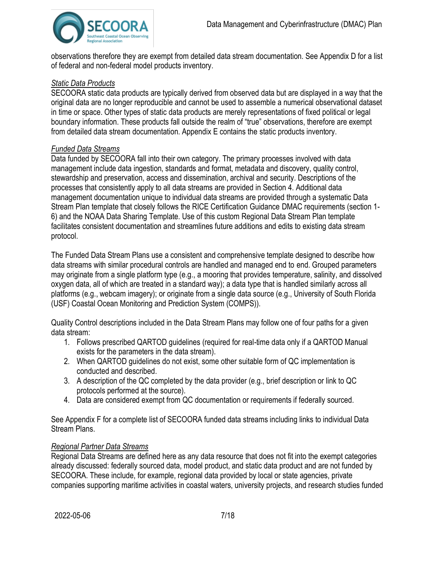

observations therefore they are exempt from detailed data stream documentation. See Appendix D for a list of federal and non-federal model products inventory.

#### *Static Data Products*

SECOORA static data products are typically derived from observed data but are displayed in a way that the original data are no longer reproducible and cannot be used to assemble a numerical observational dataset in time or space. Other types of static data products are merely representations of fixed political or legal boundary information. These products fall outside the realm of "true" observations, therefore are exempt from detailed data stream documentation. Appendix E contains the static products inventory.

#### *Funded Data Streams*

Data funded by SECOORA fall into their own category. The primary processes involved with data management include data ingestion, standards and format, metadata and discovery, quality control, stewardship and preservation, access and dissemination, archival and security. Descriptions of the processes that consistently apply to all data streams are provided in Section 4. Additional data management documentation unique to individual data streams are provided through a systematic Data Stream Plan template that closely follows the RICE Certification Guidance DMAC requirements (section 1- 6) and the NOAA Data Sharing Template. Use of this custom Regional Data Stream Plan template facilitates consistent documentation and streamlines future additions and edits to existing data stream protocol.

The Funded Data Stream Plans use a consistent and comprehensive template designed to describe how data streams with similar procedural controls are handled and managed end to end. Grouped parameters may originate from a single platform type (e.g., a mooring that provides temperature, salinity, and dissolved oxygen data, all of which are treated in a standard way); a data type that is handled similarly across all platforms (e.g., webcam imagery); or originate from a single data source (e.g., University of South Florida (USF) Coastal Ocean Monitoring and Prediction System (COMPS)).

Quality Control descriptions included in the Data Stream Plans may follow one of four paths for a given data stream:

- 1. Follows prescribed QARTOD guidelines (required for real-time data only if a QARTOD Manual exists for the parameters in the data stream).
- 2. When QARTOD guidelines do not exist, some other suitable form of QC implementation is conducted and described.
- 3. A description of the QC completed by the data provider (e.g., brief description or link to QC protocols performed at the source).
- 4. Data are considered exempt from QC documentation or requirements if federally sourced.

See Appendix F for a complete list of SECOORA funded data streams including links to individual Data Stream Plans.

#### *Regional Partner Data Streams*

Regional Data Streams are defined here as any data resource that does not fit into the exempt categories already discussed: federally sourced data, model product, and static data product and are not funded by SECOORA. These include, for example, regional data provided by local or state agencies, private companies supporting maritime activities in coastal waters, university projects, and research studies funded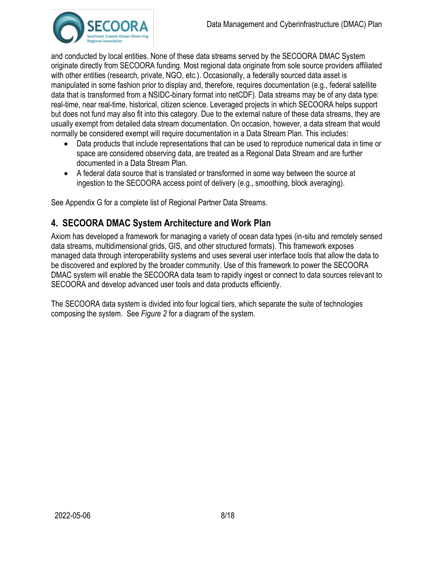

and conducted by local entities. None of these data streams served by the SECOORA DMAC System originate directly from SECOORA funding. Most regional data originate from sole source providers affiliated with other entities (research, private, NGO, etc.). Occasionally, a federally sourced data asset is manipulated in some fashion prior to display and, therefore, requires documentation (e.g., federal satellite data that is transformed from a NSIDC-binary format into netCDF). Data streams may be of any data type: real-time, near real-time, historical, citizen science. Leveraged projects in which SECOORA helps support but does not fund may also fit into this category. Due to the external nature of these data streams, they are usually exempt from detailed data stream documentation. On occasion, however, a data stream that would normally be considered exempt will require documentation in a Data Stream Plan. This includes:

- Data products that include representations that can be used to reproduce numerical data in time or space are considered observing data, are treated as a Regional Data Stream and are further documented in a Data Stream Plan.
- A federal data source that is translated or transformed in some way between the source at ingestion to the SECOORA access point of delivery (e.g., smoothing, block averaging).

See Appendix G for a complete list of Regional Partner Data Streams.

# **4. SECOORA DMAC System Architecture and Work Plan**

Axiom has developed a framework for managing a variety of ocean data types (in-situ and remotely sensed data streams, multidimensional grids, GIS, and other structured formats). This framework exposes managed data through interoperability systems and uses several user interface tools that allow the data to be discovered and explored by the broader community. Use of this framework to power the SECOORA DMAC system will enable the SECOORA data team to rapidly ingest or connect to data sources relevant to SECOORA and develop advanced user tools and data products efficiently.

The SECOORA data system is divided into four logical tiers, which separate the suite of technologies composing the system. See *Figure 2* for a diagram of the system.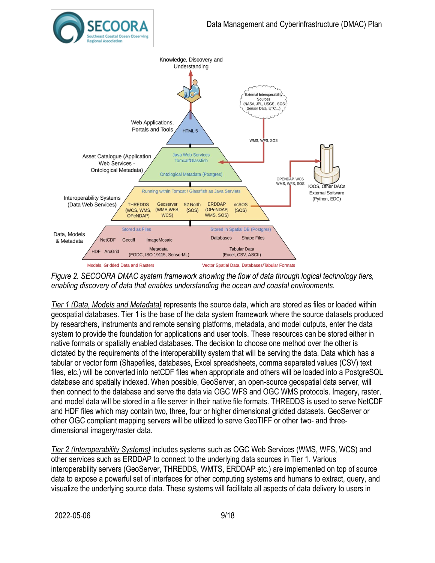



*Figure 2. SECOORA DMAC system framework showing the flow of data through logical technology tiers, enabling discovery of data that enables understanding the ocean and coastal environments.*

*Tier 1 (Data, Models and Metadata)* represents the source data, which are stored as files or loaded within geospatial databases. Tier 1 is the base of the data system framework where the source datasets produced by researchers, instruments and remote sensing platforms, metadata, and model outputs, enter the data system to provide the foundation for applications and user tools. These resources can be stored either in native formats or spatially enabled databases. The decision to choose one method over the other is dictated by the requirements of the interoperability system that will be serving the data. Data which has a tabular or vector form (Shapefiles, databases, Excel spreadsheets, comma separated values (CSV) text files, etc.) will be converted into netCDF files when appropriate and others will be loaded into a PostgreSQL database and spatially indexed. When possible, GeoServer, an open-source geospatial data server, will then connect to the database and serve the data via OGC WFS and OGC WMS protocols. Imagery, raster, and model data will be stored in a file server in their native file formats. THREDDS is used to serve NetCDF and HDF files which may contain two, three, four or higher dimensional gridded datasets. GeoServer or other OGC compliant mapping servers will be utilized to serve GeoTIFF or other two- and threedimensional imagery/raster data.

*Tier 2 (Interoperability Systems)* includes systems such as OGC Web Services (WMS, WFS, WCS) and other services such as ERDDAP to connect to the underlying data sources in Tier 1. Various interoperability servers (GeoServer, THREDDS, WMTS, ERDDAP etc.) are implemented on top of source data to expose a powerful set of interfaces for other computing systems and humans to extract, query, and visualize the underlying source data. These systems will facilitate all aspects of data delivery to users in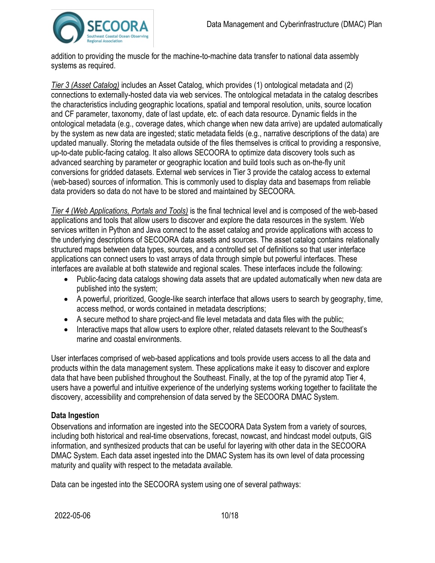

addition to providing the muscle for the machine-to-machine data transfer to national data assembly systems as required.

*Tier 3 (Asset Catalog)* includes an Asset Catalog, which provides (1) ontological metadata and (2) connections to externally-hosted data via web services. The ontological metadata in the catalog describes the characteristics including geographic locations, spatial and temporal resolution, units, source location and CF parameter, taxonomy, date of last update, etc. of each data resource. Dynamic fields in the ontological metadata (e.g., coverage dates, which change when new data arrive) are updated automatically by the system as new data are ingested; static metadata fields (e.g., narrative descriptions of the data) are updated manually. Storing the metadata outside of the files themselves is critical to providing a responsive, up-to-date public-facing catalog. It also allows SECOORA to optimize data discovery tools such as advanced searching by parameter or geographic location and build tools such as on-the-fly unit conversions for gridded datasets. External web services in Tier 3 provide the catalog access to external (web-based) sources of information. This is commonly used to display data and basemaps from reliable data providers so data do not have to be stored and maintained by SECOORA.

*Tier 4 (Web Applications, Portals and Tools)* is the final technical level and is composed of the web-based applications and tools that allow users to discover and explore the data resources in the system. Web services written in Python and Java connect to the asset catalog and provide applications with access to the underlying descriptions of SECOORA data assets and sources. The asset catalog contains relationally structured maps between data types, sources, and a controlled set of definitions so that user interface applications can connect users to vast arrays of data through simple but powerful interfaces. These interfaces are available at both statewide and regional scales. These interfaces include the following:

- Public-facing data catalogs showing data assets that are updated automatically when new data are published into the system;
- A powerful, prioritized, Google-like search interface that allows users to search by geography, time, access method, or words contained in metadata descriptions;
- A secure method to share project-and file level metadata and data files with the public;
- Interactive maps that allow users to explore other, related datasets relevant to the Southeast's marine and coastal environments.

User interfaces comprised of web-based applications and tools provide users access to all the data and products within the data management system. These applications make it easy to discover and explore data that have been published throughout the Southeast. Finally, at the top of the pyramid atop Tier 4, users have a powerful and intuitive experience of the underlying systems working together to facilitate the discovery, accessibility and comprehension of data served by the SECOORA DMAC System.

# **Data Ingestion**

Observations and information are ingested into the SECOORA Data System from a variety of sources, including both historical and real-time observations, forecast, nowcast, and hindcast model outputs, GIS information, and synthesized products that can be useful for layering with other data in the SECOORA DMAC System. Each data asset ingested into the DMAC System has its own level of data processing maturity and quality with respect to the metadata available.

Data can be ingested into the SECOORA system using one of several pathways: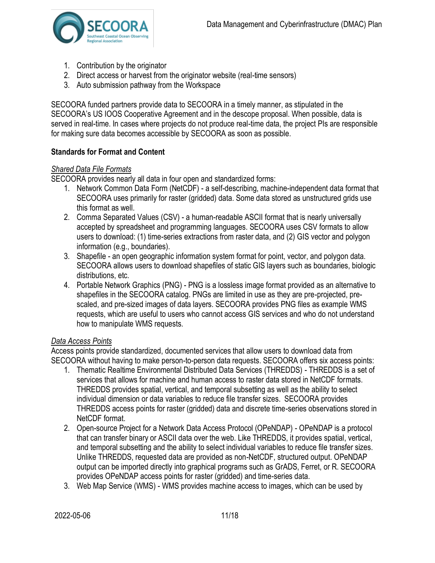

- 1. Contribution by the originator
- 2. Direct access or harvest from the originator website (real-time sensors)
- 3. Auto submission pathway from the Workspace

SECOORA funded partners provide data to SECOORA in a timely manner, as stipulated in the SECOORA's US IOOS Cooperative Agreement and in the descope proposal. When possible, data is served in real-time. In cases where projects do not produce real-time data, the project PIs are responsible for making sure data becomes accessible by SECOORA as soon as possible.

#### **Standards for Format and Content**

#### *Shared Data File Formats*

SECOORA provides nearly all data in four open and standardized forms:

- 1. Network Common Data Form (NetCDF) a self-describing, machine-independent data format that SECOORA uses primarily for raster (gridded) data. Some data stored as unstructured grids use this format as well.
- 2. Comma Separated Values (CSV) a human-readable ASCII format that is nearly universally accepted by spreadsheet and programming languages. SECOORA uses CSV formats to allow users to download: (1) time-series extractions from raster data, and (2) GIS vector and polygon information (e.g., boundaries).
- 3. Shapefile an open geographic information system format for point, vector, and polygon data. SECOORA allows users to download shapefiles of static GIS layers such as boundaries, biologic distributions, etc.
- 4. Portable Network Graphics (PNG) PNG is a lossless image format provided as an alternative to shapefiles in the SECOORA catalog. PNGs are limited in use as they are pre-projected, prescaled, and pre-sized images of data layers. SECOORA provides PNG files as example WMS requests, which are useful to users who cannot access GIS services and who do not understand how to manipulate WMS requests.

#### *Data Access Points*

Access points provide standardized, documented services that allow users to download data from SECOORA without having to make person-to-person data requests. SECOORA offers six access points:

- 1. Thematic Realtime Environmental Distributed Data Services (THREDDS) THREDDS is a set of services that allows for machine and human access to raster data stored in NetCDF formats. THREDDS provides spatial, vertical, and temporal subsetting as well as the ability to select individual dimension or data variables to reduce file transfer sizes. SECOORA provides THREDDS access points for raster (gridded) data and discrete time-series observations stored in NetCDF format.
- 2. Open-source Project for a Network Data Access Protocol (OPeNDAP) OPeNDAP is a protocol that can transfer binary or ASCII data over the web. Like THREDDS, it provides spatial, vertical, and temporal subsetting and the ability to select individual variables to reduce file transfer sizes. Unlike THREDDS, requested data are provided as non-NetCDF, structured output. OPeNDAP output can be imported directly into graphical programs such as GrADS, Ferret, or R. SECOORA provides OPeNDAP access points for raster (gridded) and time-series data.
- 3. Web Map Service (WMS) WMS provides machine access to images, which can be used by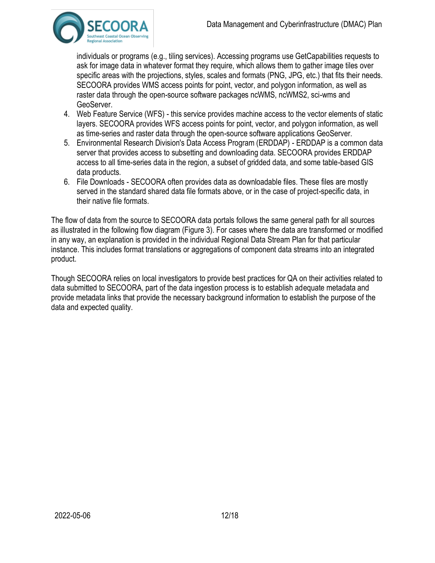

individuals or programs (e.g., tiling services). Accessing programs use GetCapabilities requests to ask for image data in whatever format they require, which allows them to gather image tiles over specific areas with the projections, styles, scales and formats (PNG, JPG, etc.) that fits their needs. SECOORA provides WMS access points for point, vector, and polygon information, as well as raster data through the open-source software packages ncWMS, ncWMS2, sci-wms and GeoServer.

- 4. Web Feature Service (WFS) this service provides machine access to the vector elements of static layers. SECOORA provides WFS access points for point, vector, and polygon information, as well as time-series and raster data through the open-source software applications GeoServer.
- 5. Environmental Research Division's Data Access Program (ERDDAP) ERDDAP is a common data server that provides access to subsetting and downloading data. SECOORA provides ERDDAP access to all time-series data in the region, a subset of gridded data, and some table-based GIS data products.
- 6. File Downloads SECOORA often provides data as downloadable files. These files are mostly served in the standard shared data file formats above, or in the case of project-specific data, in their native file formats.

The flow of data from the source to SECOORA data portals follows the same general path for all sources as illustrated in the following flow diagram (Figure 3). For cases where the data are transformed or modified in any way, an explanation is provided in the individual Regional Data Stream Plan for that particular instance. This includes format translations or aggregations of component data streams into an integrated product.

Though SECOORA relies on local investigators to provide best practices for QA on their activities related to data submitted to SECOORA, part of the data ingestion process is to establish adequate metadata and provide metadata links that provide the necessary background information to establish the purpose of the data and expected quality.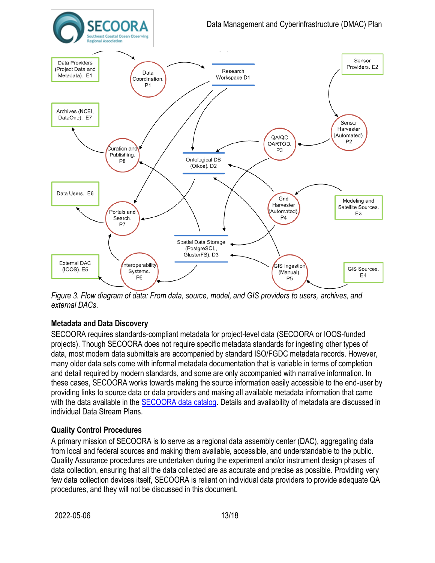

*Figure 3. Flow diagram of data: From data, source, model, and GIS providers to users, archives, and external DACs*.

# **Metadata and Data Discovery**

SECOORA requires standards-compliant metadata for project-level data (SECOORA or IOOS-funded projects). Though SECOORA does not require specific metadata standards for ingesting other types of data, most modern data submittals are accompanied by standard ISO/FGDC metadata records. However, many older data sets come with informal metadata documentation that is variable in terms of completion and detail required by modern standards, and some are only accompanied with narrative information. In these cases, SECOORA works towards making the source information easily accessible to the end-user by providing links to source data or data providers and making all available metadata information that came with the data available in the **SECOORA data catalog**. Details and availability of metadata are discussed in individual Data Stream Plans.

#### **Quality Control Procedures**

A primary mission of SECOORA is to serve as a regional data assembly center (DAC), aggregating data from local and federal sources and making them available, accessible, and understandable to the public. Quality Assurance procedures are undertaken during the experiment and/or instrument design phases of data collection, ensuring that all the data collected are as accurate and precise as possible. Providing very few data collection devices itself, SECOORA is reliant on individual data providers to provide adequate QA procedures, and they will not be discussed in this document.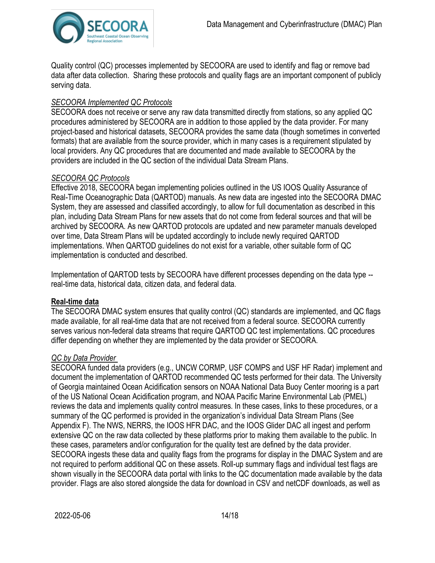

Quality control (QC) processes implemented by SECOORA are used to identify and flag or remove bad data after data collection. Sharing these protocols and quality flags are an important component of publicly serving data.

### *SECOORA Implemented QC Protocols*

SECOORA does not receive or serve any raw data transmitted directly from stations, so any applied QC procedures administered by SECOORA are in addition to those applied by the data provider. For many project-based and historical datasets, SECOORA provides the same data (though sometimes in converted formats) that are available from the source provider, which in many cases is a requirement stipulated by local providers. Any QC procedures that are documented and made available to SECOORA by the providers are included in the QC section of the individual Data Stream Plans.

#### *SECOORA QC Protocols*

Effective 2018, SECOORA began implementing policies outlined in the US IOOS Quality Assurance of Real-Time Oceanographic Data (QARTOD) manuals. As new data are ingested into the SECOORA DMAC System, they are assessed and classified accordingly, to allow for full documentation as described in this plan, including Data Stream Plans for new assets that do not come from federal sources and that will be archived by SECOORA. As new QARTOD protocols are updated and new parameter manuals developed over time, Data Stream Plans will be updated accordingly to include newly required QARTOD implementations. When QARTOD guidelines do not exist for a variable, other suitable form of QC implementation is conducted and described.

Implementation of QARTOD tests by SECOORA have different processes depending on the data type - real-time data, historical data, citizen data, and federal data.

#### **Real-time data**

The SECOORA DMAC system ensures that quality control (QC) standards are implemented, and QC flags made available, for all real-time data that are not received from a federal source. SECOORA currently serves various non-federal data streams that require QARTOD QC test implementations. QC procedures differ depending on whether they are implemented by the data provider or SECOORA.

#### *QC by Data Provider*

SECOORA funded data providers (e.g., UNCW CORMP, USF COMPS and USF HF Radar) implement and document the implementation of QARTOD recommended QC tests performed for their data. The University of Georgia maintained Ocean Acidification sensors on NOAA National Data Buoy Center mooring is a part of the US National Ocean Acidification program, and NOAA Pacific Marine Environmental Lab (PMEL) reviews the data and implements quality control measures. In these cases, links to these procedures, or a summary of the QC performed is provided in the organization's individual Data Stream Plans (See Appendix F). The NWS, NERRS, the IOOS HFR DAC, and the IOOS Glider DAC all ingest and perform extensive QC on the raw data collected by these platforms prior to making them available to the public. In these cases, parameters and/or configuration for the quality test are defined by the data provider. SECOORA ingests these data and quality flags from the programs for display in the DMAC System and are not required to perform additional QC on these assets. Roll-up summary flags and individual test flags are shown visually in the SECOORA data portal with links to the QC documentation made available by the data provider. Flags are also stored alongside the data for download in CSV and netCDF downloads, as well as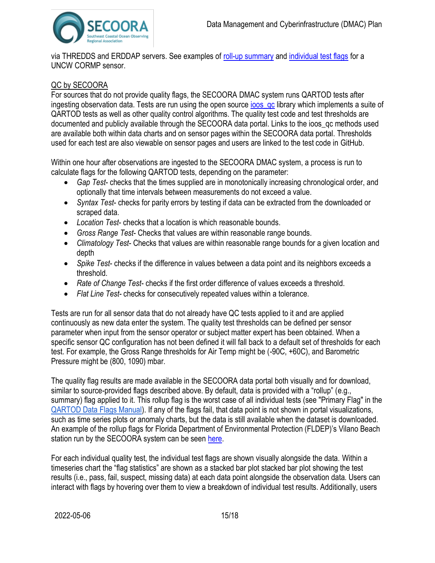

via THREDDS and ERDDAP servers. See examples of [roll-up summary](https://portal.secoora.org/#metadata/60422/station) an[d individual test flags](https://portal.secoora.org/#metadata/60422/station/7/sensor?start=2006-07-26T01:21:25Z&end=2020-11-24T02:38:00Z) for a UNCW CORMP sensor.

# QC by SECOORA

For sources that do not provide quality flags, the SECOORA DMAC system runs QARTOD tests after ingesting observation data. Tests are run using the open source joos\_qc library which implements a suite of QARTOD tests as well as other quality control algorithms. The quality test code and test thresholds are documented and publicly available through the SECOORA data portal. Links to the ioos\_qc methods used are available both within data charts and on sensor pages within the SECOORA data portal. Thresholds used for each test are also viewable on sensor pages and users are linked to the test code in GitHub.

Within one hour after observations are ingested to the SECOORA DMAC system, a process is run to calculate flags for the following QARTOD tests, depending on the parameter:

- *Gap Test* checks that the times supplied are in monotonically increasing chronological order, and optionally that time intervals between measurements do not exceed a value.
- *Syntax Test* checks for parity errors by testing if data can be extracted from the downloaded or scraped data.
- *Location Test* checks that a location is which reasonable bounds.
- *Gross Range Test* Checks that values are within reasonable range bounds.
- *Climatology Test* Checks that values are within reasonable range bounds for a given location and depth
- *Spike Test* checks if the difference in values between a data point and its neighbors exceeds a threshold.
- *Rate of Change Test* checks if the first order difference of values exceeds a threshold.
- *Flat Line Test* checks for consecutively repeated values within a tolerance.

Tests are run for all sensor data that do not already have QC tests applied to it and are applied continuously as new data enter the system. The quality test thresholds can be defined per sensor parameter when input from the sensor operator or subject matter expert has been obtained. When a specific sensor QC configuration has not been defined it will fall back to a default set of thresholds for each test. For example, the Gross Range thresholds for Air Temp might be (-90C, +60C), and Barometric Pressure might be (800, 1090) mbar.

The quality flag results are made available in the SECOORA data portal both visually and for download, similar to source-provided flags described above. By default, data is provided with a "rollup" (e.g., summary) flag applied to it. This rollup flag is the worst case of all individual tests (see "Primary Flag" in the [QARTOD Data Flags Manual\)](https://cdn.ioos.noaa.gov/media/2020/07/QARTOD-Data-Flags-Manual_version1.2final.pdf). If any of the flags fail, that data point is not shown in portal visualizations, such as time series plots or anomaly charts, but the data is still available when the dataset is downloaded. An example of the rollup flags for Florida Department of Environmental Protection (FLDEP)'s Vilano Beach station run by the SECOORA system can be seen [here.](https://portal.secoora.org/#metadata/60415/station)

For each individual quality test, the individual test flags are shown visually alongside the data. Within a timeseries chart the "flag statistics" are shown as a stacked bar plot stacked bar plot showing the test results (i.e., pass, fail, suspect, missing data) at each data point alongside the observation data. Users can interact with flags by hovering over them to view a breakdown of individual test results. Additionally, users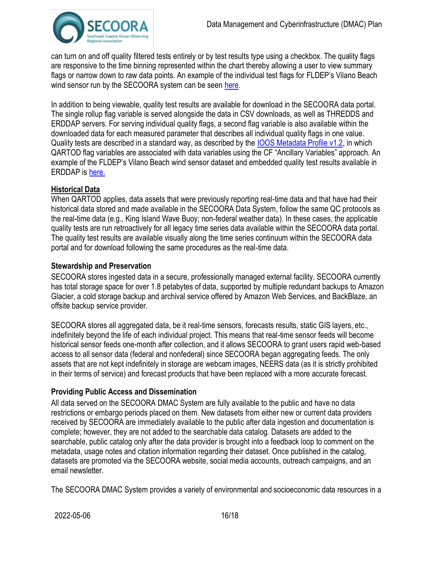

can turn on and off quality filtered tests entirely or by test results type using a checkbox. The quality flags are responsive to the time binning represented within the chart thereby allowing a user to view summary flags or narrow down to raw data points. An example of the individual test flags for FLDEP's Vilano Beach wind sensor run by the SECOORA system can be seen [here.](https://portal.secoora.org/#metadata/60415/station/8/sensor/data)

In addition to being viewable, quality test results are available for download in the SECOORA data portal. The single rollup flag variable is served alongside the data in CSV downloads, as well as THREDDS and ERDDAP servers. For serving individual quality flags, a second flag variable is also available within the downloaded data for each measured parameter that describes all individual quality flags in one value. Quality tests are described in a standard way, as described by the [IOOS Metadata Profile v1.2,](https://ioos.github.io/ioos-metadata/ioos-metadata-profile-v1-2.html) in which QARTOD flag variables are associated with data variables using the CF "Ancillary Variables" approach. An example of the FLDEP's Vilano Beach wind sensor dataset and embedded quality test results available in ERDDAP is [here.](http://erddap.secoora.org/erddap/tabledap/gov_fl_fldep_8720554.html?time%2Cwind_speed%2Cwind_from_direction%2Cwind_speed_qc_agg%2Cwind_from_direction_qc_agg%2Cz&time%3E%3D2013-02-11T09%3A20%3A54Z&time%3C%3D2013-04-17T10%3A59%3A24Z)

#### **Historical Data**

When QARTOD applies, data assets that were previously reporting real-time data and that have had their historical data stored and made available in the SECOORA Data System, follow the same QC protocols as the real-time data (e.g., King Island Wave Buoy; non-federal weather data). In these cases, the applicable quality tests are run retroactively for all legacy time series data available within the SECOORA data portal. The quality test results are available visually along the time series continuum within the SECOORA data portal and for download following the same procedures as the real-time data.

#### **Stewardship and Preservation**

SECOORA stores ingested data in a secure, professionally managed external facility. SECOORA currently has total storage space for over 1.8 petabytes of data, supported by multiple redundant backups to Amazon Glacier, a cold storage backup and archival service offered by Amazon Web Services, and BackBlaze, an offsite backup service provider.

SECOORA stores all aggregated data, be it real-time sensors, forecasts results, static GIS layers, etc., indefinitely beyond the life of each individual project. This means that real-time sensor feeds will become historical sensor feeds one-month after collection, and it allows SECOORA to grant users rapid web-based access to all sensor data (federal and nonfederal) since SECOORA began aggregating feeds. The only assets that are not kept indefinitely in storage are webcam images, NEERS data (as it is strictly prohibited in their terms of service) and forecast products that have been replaced with a more accurate forecast.

#### **Providing Public Access and Dissemination**

All data served on the SECOORA DMAC System are fully available to the public and have no data restrictions or embargo periods placed on them. New datasets from either new or current data providers received by SECOORA are immediately available to the public after data ingestion and documentation is complete; however, they are not added to the searchable data catalog. Datasets are added to the searchable, public catalog only after the data provider is brought into a feedback loop to comment on the metadata, usage notes and citation information regarding their dataset. Once published in the catalog, datasets are promoted via the SECOORA website, social media accounts, outreach campaigns, and an email newsletter.

The SECOORA DMAC System provides a variety of environmental and socioeconomic data resources in a

2022-05-06 16/18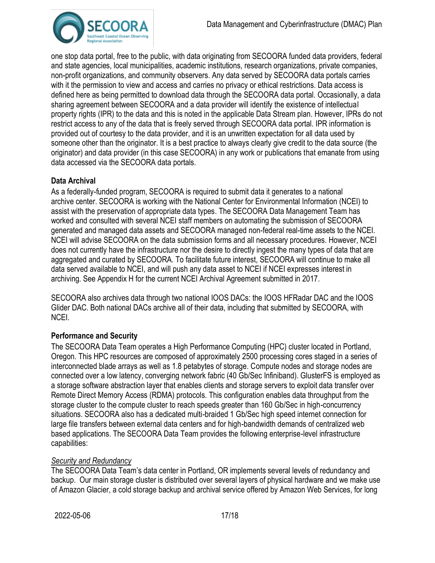

one stop data portal, free to the public, with data originating from SECOORA funded data providers, federal and state agencies, local municipalities, academic institutions, research organizations, private companies, non-profit organizations, and community observers. Any data served by SECOORA data portals carries with it the permission to view and access and carries no privacy or ethical restrictions. Data access is defined here as being permitted to download data through the SECOORA data portal. Occasionally, a data sharing agreement between SECOORA and a data provider will identify the existence of intellectual property rights (IPR) to the data and this is noted in the applicable Data Stream plan. However, IPRs do not restrict access to any of the data that is freely served through SECOORA data portal. IPR information is provided out of courtesy to the data provider, and it is an unwritten expectation for all data used by someone other than the originator. It is a best practice to always clearly give credit to the data source (the originator) and data provider (in this case SECOORA) in any work or publications that emanate from using data accessed via the SECOORA data portals.

#### **Data Archival**

As a federally-funded program, SECOORA is required to submit data it generates to a national archive center. SECOORA is working with the National Center for Environmental Information (NCEI) to assist with the preservation of appropriate data types. The SECOORA Data Management Team has worked and consulted with several NCEI staff members on automating the submission of SECOORA generated and managed data assets and SECOORA managed non-federal real-time assets to the NCEI. NCEI will advise SECOORA on the data submission forms and all necessary procedures. However, NCEI does not currently have the infrastructure nor the desire to directly ingest the many types of data that are aggregated and curated by SECOORA. To facilitate future interest, SECOORA will continue to make all data served available to NCEI, and will push any data asset to NCEI if NCEI expresses interest in archiving. See Appendix H for the current NCEI Archival Agreement submitted in 2017.

SECOORA also archives data through two national IOOS DACs: the IOOS HFRadar DAC and the IOOS Glider DAC. Both national DACs archive all of their data, including that submitted by SECOORA, with NCEI.

#### **Performance and Security**

The SECOORA Data Team operates a High Performance Computing (HPC) cluster located in Portland, Oregon. This HPC resources are composed of approximately 2500 processing cores staged in a series of interconnected blade arrays as well as 1.8 petabytes of storage. Compute nodes and storage nodes are connected over a low latency, converging network fabric (40 Gb/Sec Infiniband). GlusterFS is employed as a storage software abstraction layer that enables clients and storage servers to exploit data transfer over Remote Direct Memory Access (RDMA) protocols. This configuration enables data throughput from the storage cluster to the compute cluster to reach speeds greater than 160 Gb/Sec in high-concurrency situations. SECOORA also has a dedicated multi-braided 1 Gb/Sec high speed internet connection for large file transfers between external data centers and for high-bandwidth demands of centralized web based applications. The SECOORA Data Team provides the following enterprise-level infrastructure capabilities:

## *Security and Redundancy*

The SECOORA Data Team's data center in Portland, OR implements several levels of redundancy and backup. Our main storage cluster is distributed over several layers of physical hardware and we make use of Amazon Glacier, a cold storage backup and archival service offered by Amazon Web Services, for long